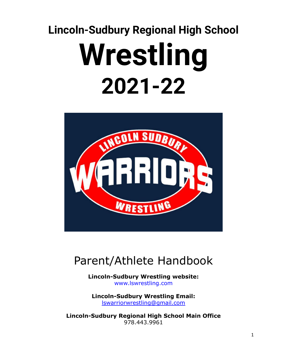# **Lincoln-Sudbury Regional High School Wrestling 2021-22**



# Parent/Athlete Handbook

**Lincoln-Sudbury Wrestling website:** www.lswrestling.com

**Lincoln-Sudbury Wrestling Email:** [lswarriorwrestling@gmail.com](mailto:lswarriorwrestling@gmail.com)

**Lincoln-Sudbury Regional High School Main Office** 978.443.9961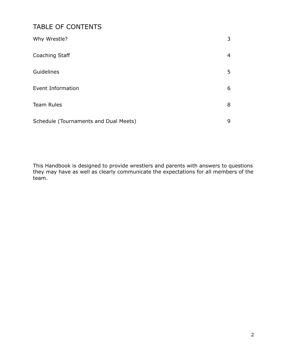# TABLE OF CONTENTS

| Why Wrestle?                          | 3 |
|---------------------------------------|---|
| Coaching Staff                        | 4 |
| Guidelines                            | 5 |
| Event Information                     | 6 |
| <b>Team Rules</b>                     | 8 |
| Schedule (Tournaments and Dual Meets) | 9 |

This Handbook is designed to provide wrestlers and parents with answers to questions they may have as well as clearly communicate the expectations for all members of the team.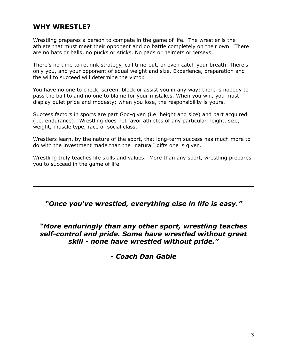# **WHY WRESTLE?**

Wrestling prepares a person to compete in the game of life. The wrestler is the athlete that must meet their opponent and do battle completely on their own. There are no bats or balls, no pucks or sticks. No pads or helmets or jerseys.

There's no time to rethink strategy, call time-out, or even catch your breath. There's only you, and your opponent of equal weight and size. Experience, preparation and the will to succeed will determine the victor.

You have no one to check, screen, block or assist you in any way; there is nobody to pass the ball to and no one to blame for your mistakes. When you win, you must display quiet pride and modesty; when you lose, the responsibility is yours.

Success factors in sports are part God-given (i.e. height and size) and part acquired (i.e. endurance). Wrestling does not favor athletes of any particular height, size, weight, muscle type, race or social class.

Wrestlers learn, by the nature of the sport, that long-term success has much more to do with the investment made than the "natural" gifts one is given.

Wrestling truly teaches life skills and values. More than any sport, wrestling prepares you to succeed in the game of life.

*"Once you've wrestled, everything else in life is easy."*

*"More enduringly than any other sport, wrestling teaches self-control and pride. Some have wrestled without great skill - none have wrestled without pride."*

*- Coach Dan Gable*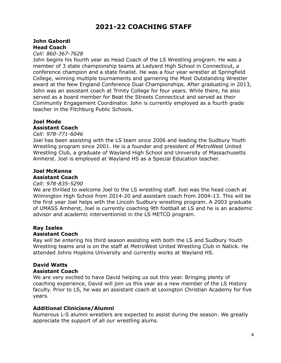# **2021-22 COACHING STAFF**

#### **John Gabordi Head Coach**

*Cell: 860-367-7628*

John begins his fourth year as Head Coach of the LS Wrestling program. He was a member of 3 state championship teams at Ledyard High School in Connecticut, a conference champion and a state finalist. He was a four year wrestler at Springfield College, winning multiple tournaments and garnering the Most Outstanding Wrestler award at the New England Conference Dual Championships. After graduating in 2013, John was an assistant coach at Trinity College for four years. While there, he also served as a board member for Beat the Streets Connecticut and served as their Community Engagement Coordinator. John is currently employed as a fourth grade teacher in the Fitchburg Public Schools.

# **Joel Mode**

# **Assistant Coach**

#### *Cell: 978-771-6046*

Joel has been assisting with the LS team since 2006 and leading the Sudbury Youth Wrestling program since 2001. He is a founder and president of MetroWest United Wrestling Club, a graduate of Wayland High School and University of Massachusetts Amherst. Joel is employed at Wayland HS as a Special Education teacher.

#### **Joel McKenna Assistant Coach**

#### *Cell: 978-835-5290*

We are thrilled to welcome Joel to the LS wrestling staff. Joel was the head coach at Wilmington High School from 2014-20 and assistant coach from 2004-13. This will be the first year Joel helps with the Lincoln Sudbury wrestling program. A 2003 graduate of UMASS Amherst, Joel is currently coaching 9th football at LS and he is an academic advisor and academic interventionist in the LS METCO program.

# **Ray Isales**

#### **Assistant Coach**

Ray will be entering his third season assisting with both the LS and Sudbury Youth Wrestling teams and is on the staff at MetroWest United Wrestling Club in Natick. He attended Johns Hopkins University and currently works at Wayland HS.

# **David Watts**

#### **Assistant Coach**

We are very excited to have David helping us out this year. Bringing plenty of coaching experience, David will join us this year as a new member of the LS History faculty. Prior to LS, he was an assistant coach at Lexington Christian Academy for five years.

#### **Additional Clinicians/Alumni**

Numerous L-S alumni wrestlers are expected to assist during the season. We greatly appreciate the support of all our wrestling alums.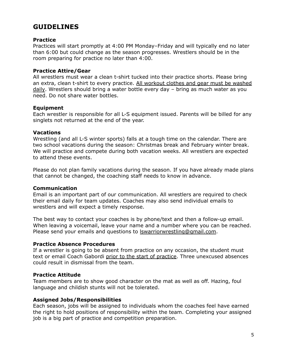# **GUIDELINES**

#### **Practice**

Practices will start promptly at 4:00 PM Monday–Friday and will typically end no later than 6:00 but could change as the season progresses. Wrestlers should be in the room preparing for practice no later than 4:00.

#### **Practice Attire/Gear**

All wrestlers must wear a clean t-shirt tucked into their practice shorts. Please bring an extra, clean t-shirt to every practice. All workout clothes and gear must be washed daily. Wrestlers should bring a water bottle every day – bring as much water as you need. Do not share water bottles.

#### **Equipment**

Each wrestler is responsible for all L-S equipment issued. Parents will be billed for any singlets not returned at the end of the year.

#### **Vacations**

Wrestling (and all L-S winter sports) falls at a tough time on the calendar. There are two school vacations during the season: Christmas break and February winter break. We will practice and compete during both vacation weeks. All wrestlers are expected to attend these events.

Please do not plan family vacations during the season. If you have already made plans that cannot be changed, the coaching staff needs to know in advance.

#### **Communication**

Email is an important part of our communication. All wrestlers are required to check their email daily for team updates. Coaches may also send individual emails to wrestlers and will expect a timely response.

The best way to contact your coaches is by phone/text and then a follow-up email. When leaving a voicemail, leave your name and a number where you can be reached. Please send your emails and questions to **Iswarriorwrestling@gmail.com**.

#### **Practice Absence Procedures**

If a wrestler is going to be absent from practice on any occasion, the student must text or email Coach Gabordi prior to the start of practice. Three unexcused absences could result in dismissal from the team.

#### **Practice Attitude**

Team members are to show good character on the mat as well as off. Hazing, foul language and childish stunts will not be tolerated.

#### **Assigned Jobs/Responsibilities**

Each season, jobs will be assigned to individuals whom the coaches feel have earned the right to hold positions of responsibility within the team. Completing your assigned job is a big part of practice and competition preparation.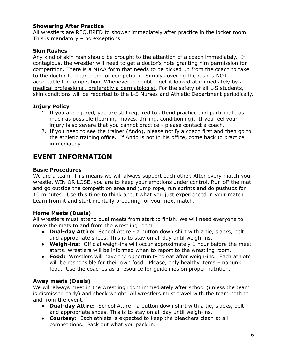#### **Showering After Practice**

All wrestlers are REQUIRED to shower immediately after practice in the locker room. This is mandatory – no exceptions.

#### **Skin Rashes**

Any kind of skin rash should be brought to the attention of a coach immediately. If contagious, the wrestler will need to get a doctor's note granting him permission for competition. There is a MIAA form that needs to be picked up from the coach to take to the doctor to clear them for competition. Simply covering the rash is NOT acceptable for competition. Whenever in doubt – get it looked at immediately by a medical professional, preferably a dermatologist. For the safety of all L-S students, skin conditions will be reported to the L-S Nurses and Athletic Department periodically.

#### **Injury Policy**

- 1. If you are injured, you are still required to attend practice and participate as much as possible (learning moves, drilling, conditioning). If you feel your injury is so severe that you cannot practice - please contact a coach.
- 2. If you need to see the trainer (Ando), please notify a coach first and then go to the athletic training office. If Ando is not in his office, come back to practice immediately.

# **EVENT INFORMATION**

#### **Basic Procedures**

We are a team! This means we will always support each other. After every match you wrestle, WIN OR LOSE, you are to keep your emotions under control. Run off the mat and go outside the competition area and jump rope, run sprints and do pushups for 10 minutes. Use this time to think about what you just experienced in your match. Learn from it and start mentally preparing for your next match.

#### **Home Meets (Duals)**

All wrestlers must attend dual meets from start to finish. We will need everyone to move the mats to and from the wrestling room.

- **Dual-day Attire:** School Attire a button down shirt with a tie, slacks, belt and appropriate shoes. This is to stay on all day until weigh-ins.
- **Weigh-ins:** Official weigh-ins will occur approximately 1 hour before the meet starts. Wrestlers will be informed when to report to the wrestling room.
- **Food:** Wrestlers will have the opportunity to eat after weigh-ins. Each athlete will be responsible for their own food. Please, only healthy items - no junk food. Use the coaches as a resource for guidelines on proper nutrition.

#### **Away meets (Duals)**

We will always meet in the wrestling room immediately after school (unless the team is dismissed early) and check weight. All wrestlers must travel with the team both to and from the event.

- **Dual-day Attire:** School Attire a button down shirt with a tie, slacks, belt and appropriate shoes. This is to stay on all day until weigh-ins.
- **Courtesy:** Each athlete is expected to keep the bleachers clean at all competitions. Pack out what you pack in.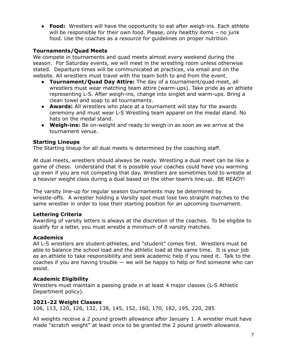● **Food:** Wrestlers will have the opportunity to eat after weigh-ins. Each athlete will be responsible for their own food. Please, only healthy items – no junk food. Use the coaches as a resource for guidelines on proper nutrition.

#### **Tournaments/Quad Meets**

We compete in tournaments and quad meets almost every weekend during the season. For Saturday events, we will meet in the wrestling room unless otherwise stated. Departure times will be communicated at practices, via email and on the website. All wrestlers must travel with the team both to and from the event.

- **Tournament/Quad Day Attire:** The day of a tournament/quad meet, all wrestlers must wear matching team attire (warm-ups). Take pride as an athlete representing L-S. After weigh-ins, change into singlet and warm-ups. Bring a clean towel and soap to all tournaments.
- **Awards:** All wrestlers who place at a tournament will stay for the awards ceremony and must wear L-S Wrestling team apparel on the medal stand. No hats on the medal stand.
- **Weigh-ins:** Be on-weight and ready to weigh-in as soon as we arrive at the tournament venue.

#### **Starting Lineups**

The Starting lineup for all dual meets is determined by the coaching staff.

At dual meets, wrestlers should always be ready. Wrestling a dual meet can be like a game of chess. Understand that it is possible your coaches could have you warming up even if you are not competing that day. Wrestlers are sometimes told to wrestle at a heavier weight class during a dual based on the other team's line-up. BE READY!

The varsity line-up for regular season tournaments may be determined by wrestle-offs. A wrestler holding a Varsity spot must lose two straight matches to the same wrestler in order to lose their starting position for an upcoming tournament.

#### **Lettering Criteria**

Awarding of varsity letters is always at the discretion of the coaches. To be eligible to qualify for a letter, you must wrestle a minimum of 8 varsity matches.

#### **Academics**

All L-S wrestlers are student-athletes, and "student" comes first. Wrestlers must be able to balance the school load and the athletic load at the same time. It is your job as an athlete to take responsibility and seek academic help if you need it. Talk to the coaches if you are having trouble  $-$  we will be happy to help or find someone who can assist.

#### **Academic Eligibility**

Wrestlers must maintain a passing grade in at least 4 major classes (L-S Athletic Department policy).

#### **2021-22 Weight Classes**

106, 113, 120, 126, 132, 138, 145, 152, 160, 170, 182, 195, 220, 285

All weights receive a 2 pound growth allowance after January 1. A wrestler must have made "scratch weight" at least once to be granted the 2 pound growth allowance.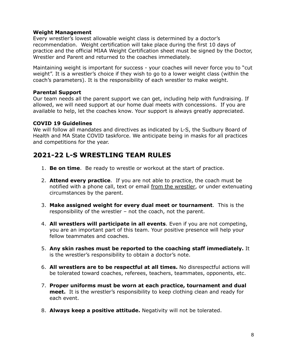#### **Weight Management**

Every wrestler's lowest allowable weight class is determined by a doctor's recommendation. Weight certification will take place during the first 10 days of practice and the official MIAA Weight Certification sheet must be signed by the Doctor, Wrestler and Parent and returned to the coaches immediately.

Maintaining weight is important for success - your coaches will never force you to "cut weight". It is a wrestler's choice if they wish to go to a lower weight class (within the coach's parameters). It is the responsibility of each wrestler to make weight.

#### **Parental Support**

Our team needs all the parent support we can get, including help with fundraising. If allowed, we will need support at our home dual meets with concessions. If you are available to help, let the coaches know. Your support is always greatly appreciated.

#### **COVID 19 Guidelines**

We will follow all mandates and directives as indicated by L-S, the Sudbury Board of Health and MA State COVID taskforce. We anticipate being in masks for all practices and competitions for the year.

# **2021-22 L-S WRESTLING TEAM RULES**

- 1. **Be on time**. Be ready to wrestle or workout at the start of practice.
- 2. **Attend every practice**. If you are not able to practice, the coach must be notified with a phone call, text or email from the wrestler, or under extenuating circumstances by the parent.
- 3. **Make assigned weight for every dual meet or tournament**. This is the responsibility of the wrestler – not the coach, not the parent.
- 4. **All wrestlers will participate in all events**. Even if you are not competing, you are an important part of this team. Your positive presence will help your fellow teammates and coaches.
- 5. **Any skin rashes must be reported to the coaching staff immediately.** It is the wrestler's responsibility to obtain a doctor's note.
- 6. **All wrestlers are to be respectful at all times.** No disrespectful actions will be tolerated toward coaches, referees, teachers, teammates, opponents, etc.
- 7. **Proper uniforms must be worn at each practice, tournament and dual meet.** It is the wrestler's responsibility to keep clothing clean and ready for each event.
- 8. **Always keep a positive attitude.** Negativity will not be tolerated.